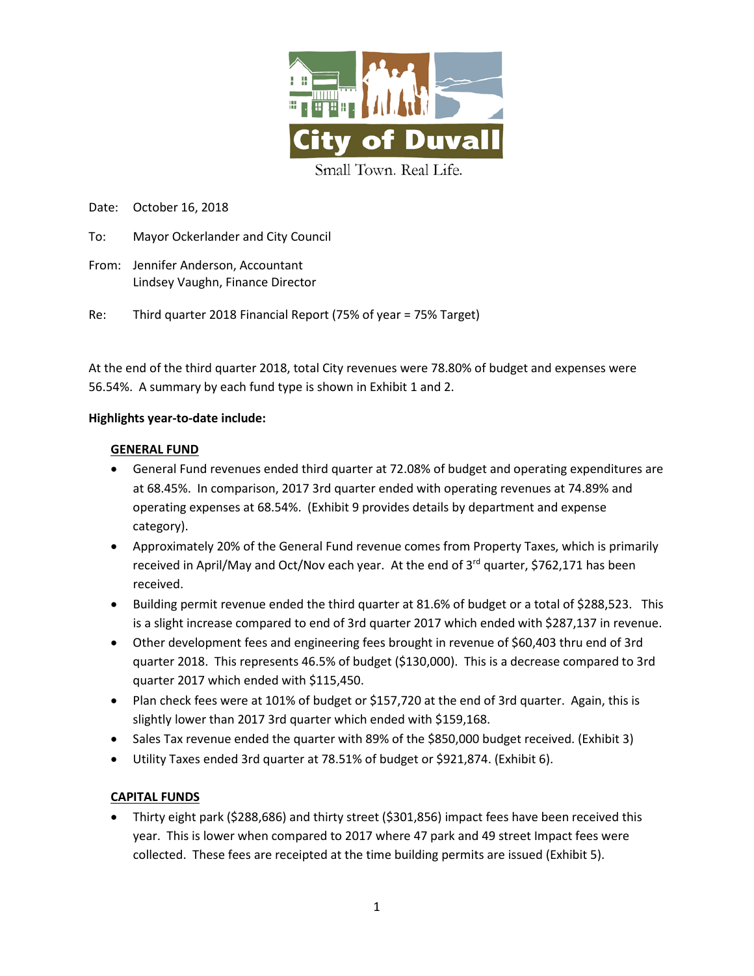

Date: October 16, 2018

- To: Mayor Ockerlander and City Council
- From: Jennifer Anderson, Accountant Lindsey Vaughn, Finance Director

Re: Third quarter 2018 Financial Report (75% of year = 75% Target)

At the end of the third quarter 2018, total City revenues were 78.80% of budget and expenses were 56.54%. A summary by each fund type is shown in Exhibit 1 and 2.

## **Highlights year-to-date include:**

## **GENERAL FUND**

- General Fund revenues ended third quarter at 72.08% of budget and operating expenditures are at 68.45%. In comparison, 2017 3rd quarter ended with operating revenues at 74.89% and operating expenses at 68.54%. (Exhibit 9 provides details by department and expense category).
- Approximately 20% of the General Fund revenue comes from Property Taxes, which is primarily received in April/May and Oct/Nov each year. At the end of 3<sup>rd</sup> quarter, \$762,171 has been received.
- Building permit revenue ended the third quarter at 81.6% of budget or a total of \$288,523. This is a slight increase compared to end of 3rd quarter 2017 which ended with \$287,137 in revenue.
- Other development fees and engineering fees brought in revenue of \$60,403 thru end of 3rd quarter 2018. This represents 46.5% of budget (\$130,000). This is a decrease compared to 3rd quarter 2017 which ended with \$115,450.
- Plan check fees were at 101% of budget or \$157,720 at the end of 3rd quarter. Again, this is slightly lower than 2017 3rd quarter which ended with \$159,168.
- Sales Tax revenue ended the quarter with 89% of the \$850,000 budget received. (Exhibit 3)
- Utility Taxes ended 3rd quarter at 78.51% of budget or \$921,874. (Exhibit 6).

## **CAPITAL FUNDS**

• Thirty eight park (\$288,686) and thirty street (\$301,856) impact fees have been received this year. This is lower when compared to 2017 where 47 park and 49 street Impact fees were collected. These fees are receipted at the time building permits are issued (Exhibit 5).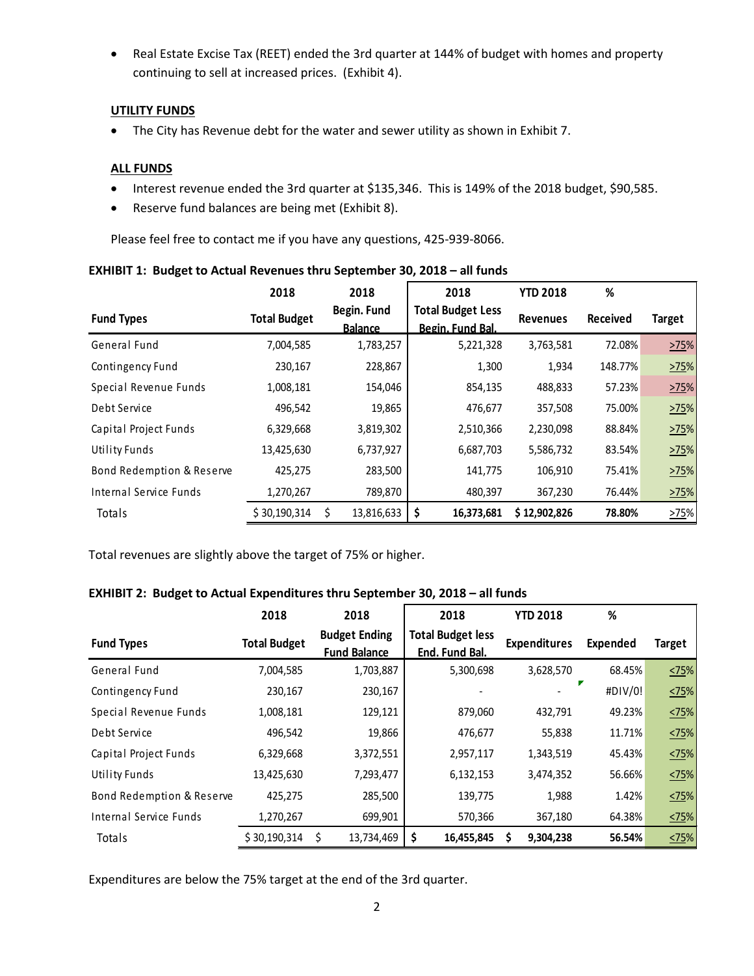• Real Estate Excise Tax (REET) ended the 3rd quarter at 144% of budget with homes and property continuing to sell at increased prices. (Exhibit 4).

## **UTILITY FUNDS**

• The City has Revenue debt for the water and sewer utility as shown in Exhibit 7.

## **ALL FUNDS**

- Interest revenue ended the 3rd quarter at \$135,346. This is 149% of the 2018 budget, \$90,585.
- Reserve fund balances are being met (Exhibit 8).

Please feel free to contact me if you have any questions, 425-939-8066.

|                           | 2018                | 2018                   | 2018                                         | <b>YTD 2018</b> | %               |               |
|---------------------------|---------------------|------------------------|----------------------------------------------|-----------------|-----------------|---------------|
| <b>Fund Types</b>         | <b>Total Budget</b> | Begin. Fund<br>Balance | <b>Total Budget Less</b><br>Begin. Fund Bal. | <b>Revenues</b> | <b>Received</b> | <b>Target</b> |
| General Fund              | 7,004,585           | 1,783,257              | 5,221,328                                    | 3,763,581       | 72.08%          | >75%          |
| Contingency Fund          | 230,167             | 228,867                | 1,300                                        | 1,934           | 148.77%         | 275%          |
| Special Revenue Funds     | 1,008,181           | 154,046                | 854,135                                      | 488,833         | 57.23%          | 275%          |
| Debt Service              | 496,542             | 19,865                 | 476,677                                      | 357,508         | 75.00%          | 275%          |
| Capital Project Funds     | 6,329,668           | 3,819,302              | 2,510,366                                    | 2,230,098       | 88.84%          | 275%          |
| Utility Funds             | 13,425,630          | 6,737,927              | 6,687,703                                    | 5,586,732       | 83.54%          | 275%          |
| Bond Redemption & Reserve | 425,275             | 283,500                | 141,775                                      | 106,910         | 75.41%          | >75%          |
| Internal Service Funds    | 1,270,267           | 789,870                | 480,397                                      | 367,230         | 76.44%          | 275%          |
| Totals                    | \$30,190,314        | 13,816,633             | \$<br>16,373,681                             | \$12,902,826    | 78.80%          | >75%          |

|  |  | EXHIBIT 1: Budget to Actual Revenues thru September 30, 2018 - all funds |  |
|--|--|--------------------------------------------------------------------------|--|
|--|--|--------------------------------------------------------------------------|--|

Total revenues are slightly above the target of 75% or higher.

## **EXHIBIT 2: Budget to Actual Expenditures thru September 30, 2018 – all funds**

|                           | 2018                | 2018                                        | 2018                                       | <b>YTD 2018</b>     | %        |               |
|---------------------------|---------------------|---------------------------------------------|--------------------------------------------|---------------------|----------|---------------|
| <b>Fund Types</b>         | <b>Total Budget</b> | <b>Budget Ending</b><br><b>Fund Balance</b> | <b>Total Budget less</b><br>End. Fund Bal. | <b>Expenditures</b> | Expended | <b>Target</b> |
| General Fund              | 7,004,585           | 1,703,887                                   | 5,300,698                                  | 3,628,570           | 68.45%   | $\leq$ 75%    |
| Contingency Fund          | 230,167             | 230,167                                     |                                            |                     | #DIV/0!  | 525%          |
| Special Revenue Funds     | 1,008,181           | 129,121                                     | 879,060                                    | 432,791             | 49.23%   | 525%          |
| Debt Service              | 496,542             | 19,866                                      | 476,677                                    | 55,838              | 11.71%   | 525%          |
| Capital Project Funds     | 6,329,668           | 3,372,551                                   | 2,957,117                                  | 1,343,519           | 45.43%   | $\leq$ 75%    |
| Utility Funds             | 13,425,630          | 7,293,477                                   | 6,132,153                                  | 3,474,352           | 56.66%   | 525%          |
| Bond Redemption & Reserve | 425,275             | 285,500                                     | 139,775                                    | 1,988               | 1.42%    | 525%          |
| Internal Service Funds    | 1,270,267           | 699,901                                     | 570,366                                    | 367,180             | 64.38%   | 525%          |
| Totals                    | \$30,190,314        | 13,734,469<br>S                             | \$<br>16,455,845                           | 9,304,238<br>S      | 56.54%   | 525%          |

Expenditures are below the 75% target at the end of the 3rd quarter.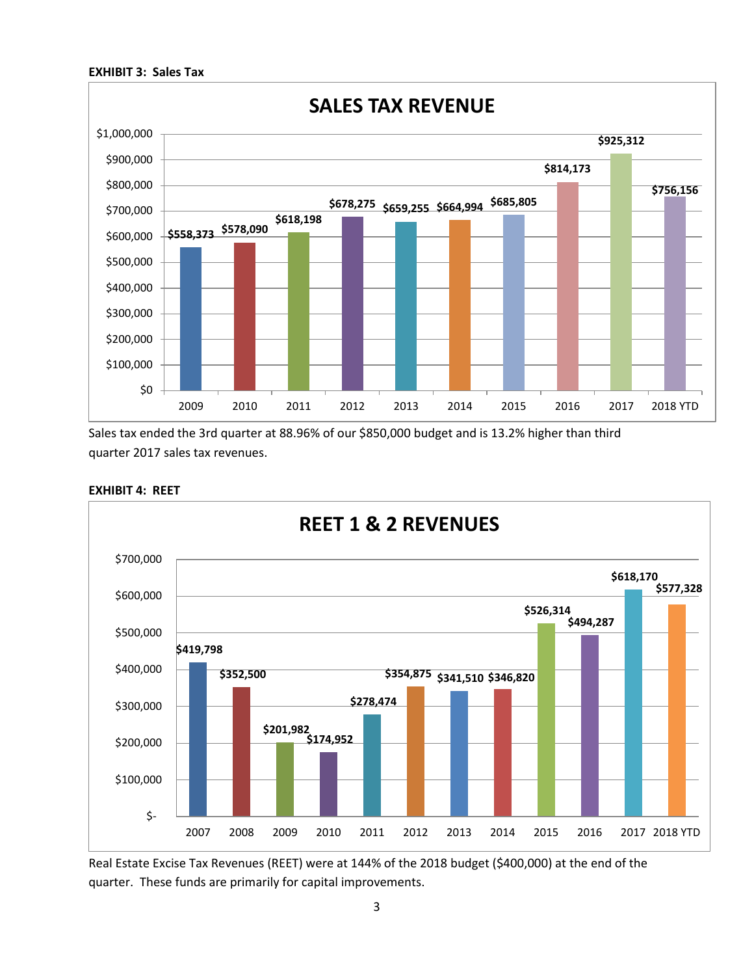#### **EXHIBIT 3: Sales Tax**



Sales tax ended the 3rd quarter at 88.96% of our \$850,000 budget and is 13.2% higher than third quarter 2017 sales tax revenues.



#### **EXHIBIT 4: REET**

Real Estate Excise Tax Revenues (REET) were at 144% of the 2018 budget (\$400,000) at the end of the quarter. These funds are primarily for capital improvements.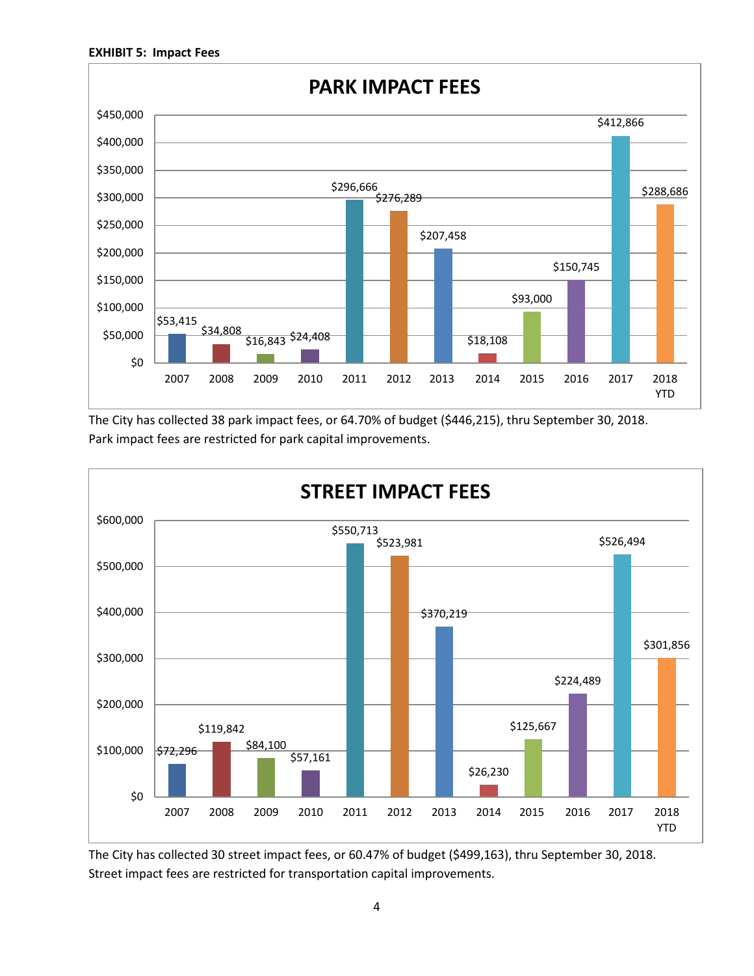

The City has collected 38 park impact fees, or 64.70% of budget (\$446,215), thru September 30, 2018. Park impact fees are restricted for park capital improvements.



The City has collected 30 street impact fees, or 60.47% of budget (\$499,163), thru September 30, 2018. Street impact fees are restricted for transportation capital improvements.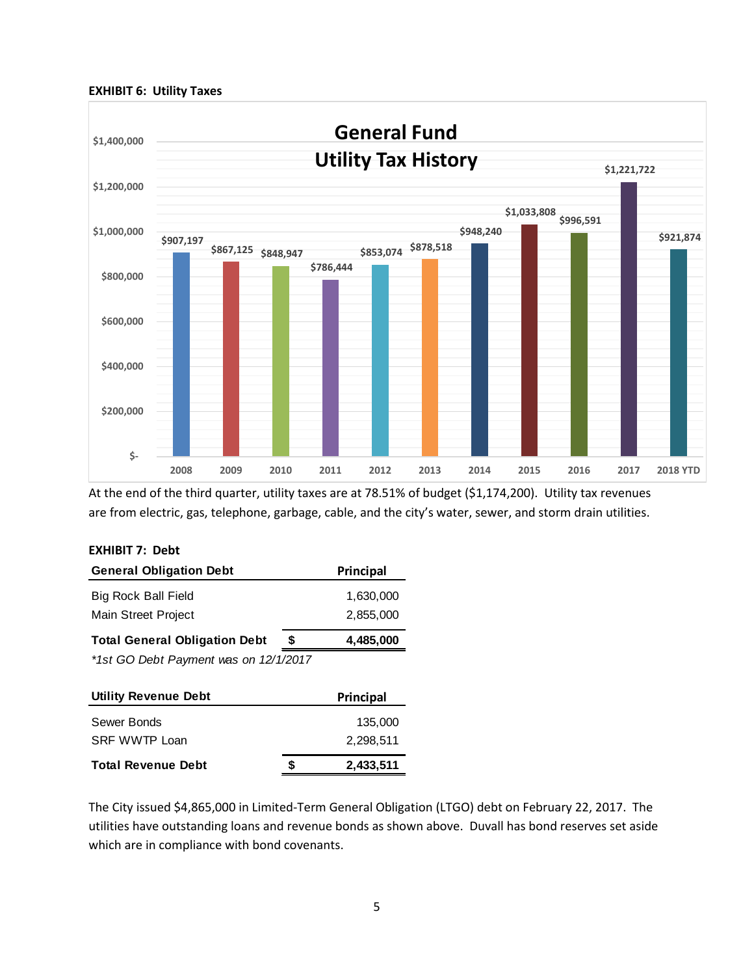### **EXHIBIT 6: Utility Taxes**



At the end of the third quarter, utility taxes are at 78.51% of budget (\$1,174,200). Utility tax revenues are from electric, gas, telephone, garbage, cable, and the city's water, sewer, and storm drain utilities.

| <b>EXHIBIT 7: Debt</b>                |                  |
|---------------------------------------|------------------|
| <b>General Obligation Debt</b>        | <b>Principal</b> |
| Big Rock Ball Field                   | 1,630,000        |
| Main Street Project                   | 2,855,000        |
| <b>Total General Obligation Debt</b>  | \$<br>4,485,000  |
| *1st GO Debt Payment was on 12/1/2017 |                  |
| <b>Utility Revenue Debt</b>           | Principal        |
| Sewer Bonds                           | 135,000          |
| SRF WWTP Loan                         | 2.298.511        |

**Total Revenue Debt \$ 2,433,511**

The City issued \$4,865,000 in Limited-Term General Obligation (LTGO) debt on February 22, 2017. The utilities have outstanding loans and revenue bonds as shown above. Duvall has bond reserves set aside which are in compliance with bond covenants.

#### 5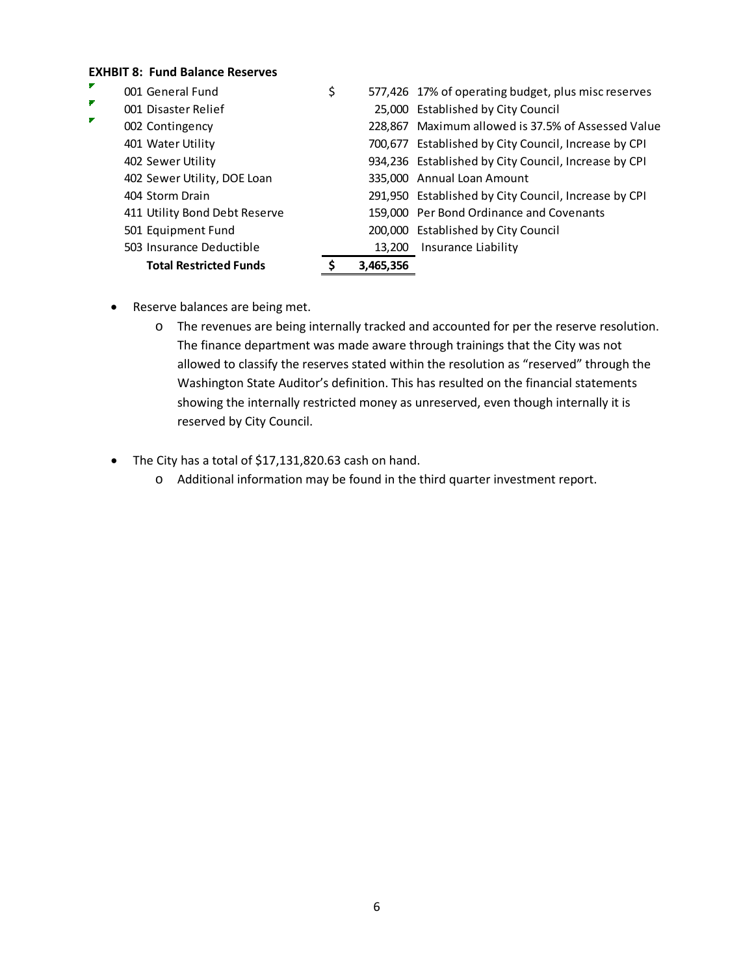## **EXHBIT 8: Fund Balance Reserves**

| ₽  | 001 General Fund              | \$        | 577,426 17% of operating budget, plus misc reserves  |
|----|-------------------------------|-----------|------------------------------------------------------|
| F. | 001 Disaster Relief           |           | 25,000 Established by City Council                   |
| F. | 002 Contingency               |           | 228,867 Maximum allowed is 37.5% of Assessed Value   |
|    | 401 Water Utility             |           | 700,677 Established by City Council, Increase by CPI |
|    | 402 Sewer Utility             |           | 934,236 Established by City Council, Increase by CPI |
|    | 402 Sewer Utility, DOE Loan   |           | 335,000 Annual Loan Amount                           |
|    | 404 Storm Drain               |           | 291,950 Established by City Council, Increase by CPI |
|    | 411 Utility Bond Debt Reserve |           | 159,000 Per Bond Ordinance and Covenants             |
|    | 501 Equipment Fund            |           | 200,000 Established by City Council                  |
|    | 503 Insurance Deductible      | 13,200    | Insurance Liability                                  |
|    | <b>Total Restricted Funds</b> | 3,465,356 |                                                      |

- Reserve balances are being met.
	- o The revenues are being internally tracked and accounted for per the reserve resolution. The finance department was made aware through trainings that the City was not allowed to classify the reserves stated within the resolution as "reserved" through the Washington State Auditor's definition. This has resulted on the financial statements showing the internally restricted money as unreserved, even though internally it is reserved by City Council.
- The City has a total of \$17,131,820.63 cash on hand.
	- o Additional information may be found in the third quarter investment report.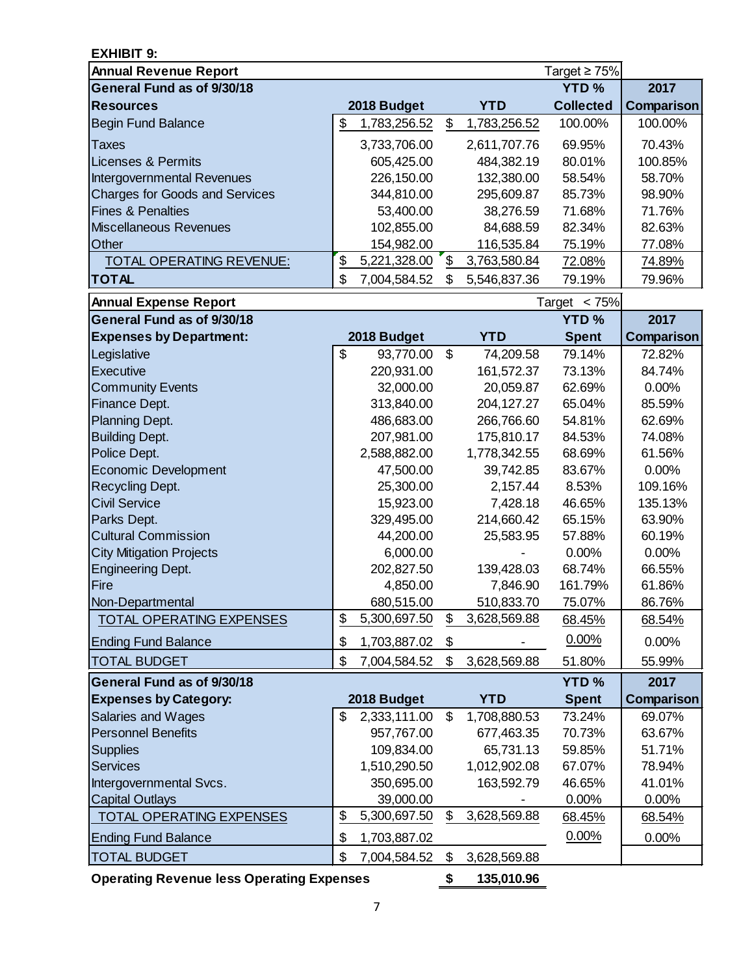| <b>EXHIBIT 9:</b>                     |                    |       |              |                    |            |
|---------------------------------------|--------------------|-------|--------------|--------------------|------------|
| <b>Annual Revenue Report</b>          |                    |       |              | Target $\geq 75\%$ |            |
| General Fund as of 9/30/18            |                    |       |              | <b>YTD%</b>        | 2017       |
| <b>Resources</b>                      | 2018 Budget        |       | <b>YTD</b>   | <b>Collected</b>   | Comparison |
| <b>Begin Fund Balance</b>             | \$<br>1,783,256.52 | \$    | 1,783,256.52 | 100.00%            | 100.00%    |
| Taxes                                 | 3,733,706.00       |       | 2,611,707.76 | 69.95%             | 70.43%     |
| <b>Licenses &amp; Permits</b>         | 605,425.00         |       | 484,382.19   | 80.01%             | 100.85%    |
| Intergovernmental Revenues            | 226,150.00         |       | 132,380.00   | 58.54%             | 58.70%     |
| <b>Charges for Goods and Services</b> | 344,810.00         |       | 295,609.87   | 85.73%             | 98.90%     |
| <b>Fines &amp; Penalties</b>          | 53,400.00          |       | 38,276.59    | 71.68%             | 71.76%     |
| <b>Miscellaneous Revenues</b>         | 102,855.00         |       | 84,688.59    | 82.34%             | 82.63%     |
| Other                                 | 154,982.00         |       | 116,535.84   | 75.19%             | 77.08%     |
| TOTAL OPERATING REVENUE:              | \$<br>5,221,328.00 | \$    | 3,763,580.84 | 72.08%             | 74.89%     |
| <b>TOTAL</b>                          | \$<br>7,004,584.52 | \$    | 5,546,837.36 | 79.19%             | 79.96%     |
| <b>Annual Expense Report</b>          |                    |       |              | Target $< 75\%$    |            |
| General Fund as of 9/30/18            |                    |       |              | <b>YTD%</b>        | 2017       |
| <b>Expenses by Department:</b>        | 2018 Budget        |       | <b>YTD</b>   | <b>Spent</b>       | Comparison |
| Legislative                           | \$<br>93,770.00    | $\$\$ | 74,209.58    | 79.14%             | 72.82%     |
| Executive                             | 220,931.00         |       | 161,572.37   | 73.13%             | 84.74%     |
| <b>Community Events</b>               | 32,000.00          |       | 20,059.87    | 62.69%             | 0.00%      |
| Finance Dept.                         | 313,840.00         |       | 204,127.27   | 65.04%             | 85.59%     |
| Planning Dept.                        | 486,683.00         |       | 266,766.60   | 54.81%             | 62.69%     |
| <b>Building Dept.</b>                 | 207,981.00         |       | 175,810.17   | 84.53%             | 74.08%     |
| Police Dept.                          | 2,588,882.00       |       | 1,778,342.55 | 68.69%             | 61.56%     |
| <b>Economic Development</b>           | 47,500.00          |       | 39,742.85    | 83.67%             | 0.00%      |
| Recycling Dept.                       | 25,300.00          |       | 2,157.44     | 8.53%              | 109.16%    |
| <b>Civil Service</b>                  | 15,923.00          |       | 7,428.18     | 46.65%             | 135.13%    |
| Parks Dept.                           | 329,495.00         |       | 214,660.42   | 65.15%             | 63.90%     |
| <b>Cultural Commission</b>            | 44,200.00          |       | 25,583.95    | 57.88%             | 60.19%     |
| <b>City Mitigation Projects</b>       | 6,000.00           |       |              | 0.00%              | 0.00%      |
| <b>Engineering Dept.</b>              | 202,827.50         |       | 139,428.03   | 68.74%             | 66.55%     |
| Fire                                  | 4,850.00           |       | 7,846.90     | 161.79%            | 61.86%     |
| Non-Departmental                      | 680,515.00         |       | 510,833.70   | 75.07%             | 86.76%     |
| TOTAL OPERATING EXPENSES              | \$<br>5,300,697.50 | \$    | 3,628,569.88 | 68.45%             | 68.54%     |
| <b>Ending Fund Balance</b>            | \$<br>1,703,887.02 | \$    |              | 0.00%              | 0.00%      |
| <b>TOTAL BUDGET</b>                   | \$<br>7,004,584.52 | \$    | 3,628,569.88 | 51.80%             | 55.99%     |
| General Fund as of 9/30/18            |                    |       |              | <b>YTD%</b>        | 2017       |
| <b>Expenses by Category:</b>          | 2018 Budget        |       | <b>YTD</b>   | <b>Spent</b>       | Comparison |
| Salaries and Wages                    | \$<br>2,333,111.00 | \$    | 1,708,880.53 | 73.24%             | 69.07%     |
| <b>Personnel Benefits</b>             | 957,767.00         |       | 677,463.35   | 70.73%             | 63.67%     |
| <b>Supplies</b>                       | 109,834.00         |       | 65,731.13    | 59.85%             | 51.71%     |
| <b>Services</b>                       | 1,510,290.50       |       | 1,012,902.08 | 67.07%             | 78.94%     |
| Intergovernmental Svcs.               | 350,695.00         |       | 163,592.79   | 46.65%             | 41.01%     |
| <b>Capital Outlays</b>                | 39,000.00          |       |              | 0.00%              | 0.00%      |
| <b>TOTAL OPERATING EXPENSES</b>       | \$<br>5,300,697.50 | \$    | 3,628,569.88 | 68.45%             | 68.54%     |
| <b>Ending Fund Balance</b>            | \$<br>1,703,887.02 |       |              | 0.00%              | 0.00%      |
| <b>TOTAL BUDGET</b>                   | \$<br>7,004,584.52 | \$    | 3,628,569.88 |                    |            |

**Operating Revenue less Operating Expenses \$ 135,010.96**